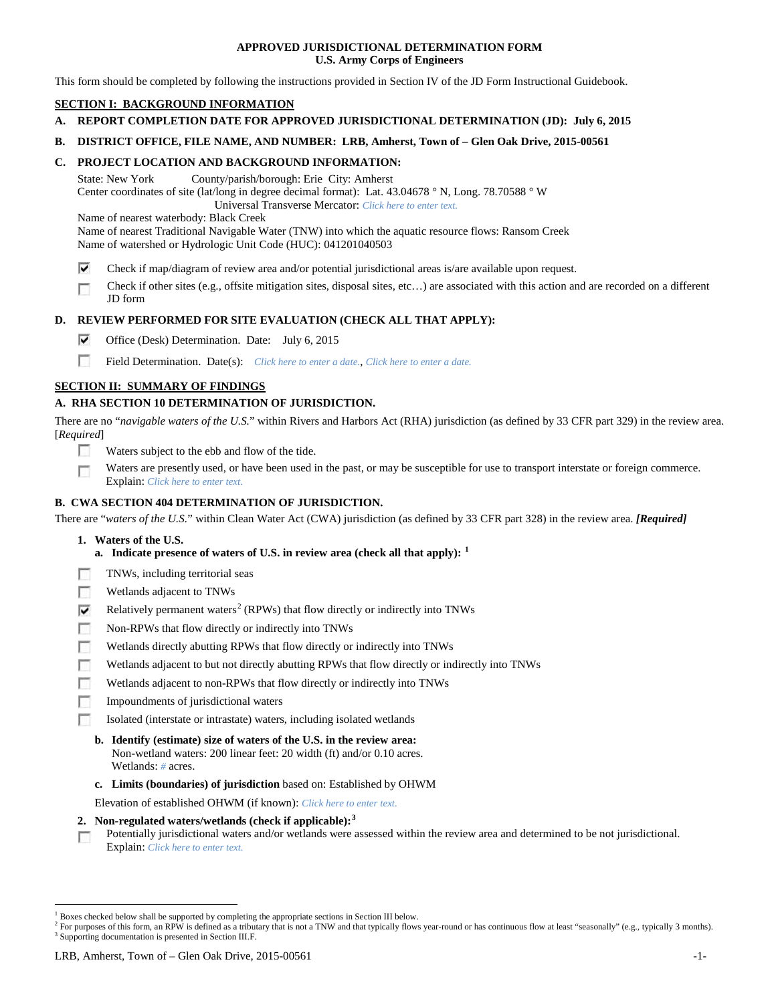## **APPROVED JURISDICTIONAL DETERMINATION FORM U.S. Army Corps of Engineers**

This form should be completed by following the instructions provided in Section IV of the JD Form Instructional Guidebook.

# **SECTION I: BACKGROUND INFORMATION**

- **A. REPORT COMPLETION DATE FOR APPROVED JURISDICTIONAL DETERMINATION (JD): July 6, 2015**
- **B. DISTRICT OFFICE, FILE NAME, AND NUMBER: LRB, Amherst, Town of – Glen Oak Drive, 2015-00561**

## **C. PROJECT LOCATION AND BACKGROUND INFORMATION:**

State: New York County/parish/borough: Erie City: Amherst Center coordinates of site (lat/long in degree decimal format): Lat. 43.04678 ° N, Long. 78.70588 ° W Universal Transverse Mercator: *Click here to enter text.*

Name of nearest waterbody: Black Creek

Name of nearest Traditional Navigable Water (TNW) into which the aquatic resource flows: Ransom Creek Name of watershed or Hydrologic Unit Code (HUC): 041201040503

- ⊽ Check if map/diagram of review area and/or potential jurisdictional areas is/are available upon request.
- Check if other sites (e.g., offsite mitigation sites, disposal sites, etc…) are associated with this action and are recorded on a different г JD form

## **D. REVIEW PERFORMED FOR SITE EVALUATION (CHECK ALL THAT APPLY):**

- ⊽ Office (Desk) Determination. Date: July 6, 2015
- m Field Determination. Date(s): *Click here to enter a date.*, *Click here to enter a date.*

## **SECTION II: SUMMARY OF FINDINGS**

# **A. RHA SECTION 10 DETERMINATION OF JURISDICTION.**

There are no "*navigable waters of the U.S.*" within Rivers and Harbors Act (RHA) jurisdiction (as defined by 33 CFR part 329) in the review area. [*Required*]

- n Waters subject to the ebb and flow of the tide.
- Waters are presently used, or have been used in the past, or may be susceptible for use to transport interstate or foreign commerce. п Explain: *Click here to enter text.*

## **B. CWA SECTION 404 DETERMINATION OF JURISDICTION.**

There are "*waters of the U.S.*" within Clean Water Act (CWA) jurisdiction (as defined by 33 CFR part 328) in the review area. *[Required]*

- **1. Waters of the U.S.**
	- **a. Indicate presence of waters of U.S. in review area (check all that apply): [1](#page-0-0)**
- Е TNWs, including territorial seas
- п Wetlands adjacent to TNWs
- Relatively permanent waters<sup>[2](#page-0-1)</sup> (RPWs) that flow directly or indirectly into TNWs ⊽
- г Non-RPWs that flow directly or indirectly into TNWs
- п Wetlands directly abutting RPWs that flow directly or indirectly into TNWs
- Wetlands adjacent to but not directly abutting RPWs that flow directly or indirectly into TNWs г
- Wetlands adjacent to non-RPWs that flow directly or indirectly into TNWs г
- г Impoundments of jurisdictional waters
- Isolated (interstate or intrastate) waters, including isolated wetlands n.

#### **b. Identify (estimate) size of waters of the U.S. in the review area:** Non-wetland waters: 200 linear feet: 20 width (ft) and/or 0.10 acres. Wetlands: *#* acres.

**c. Limits (boundaries) of jurisdiction** based on: Established by OHWM

Elevation of established OHWM (if known): *Click here to enter text.*

- **2. Non-regulated waters/wetlands (check if applicable): [3](#page-0-2)**
- Potentially jurisdictional waters and/or wetlands were assessed within the review area and determined to be not jurisdictional. п Explain: *Click here to enter text.*

<span id="page-0-0"></span><sup>&</sup>lt;sup>1</sup> Boxes checked below shall be supported by completing the appropriate sections in Section III below.

<span id="page-0-2"></span><span id="page-0-1"></span> $^2$  For purposes of this form, an RPW is defined as a tributary that is not a TNW and that typically flows year-round or has continuous flow at least "seasonally" (e.g., typically 3 months). 3 Supporting documentation is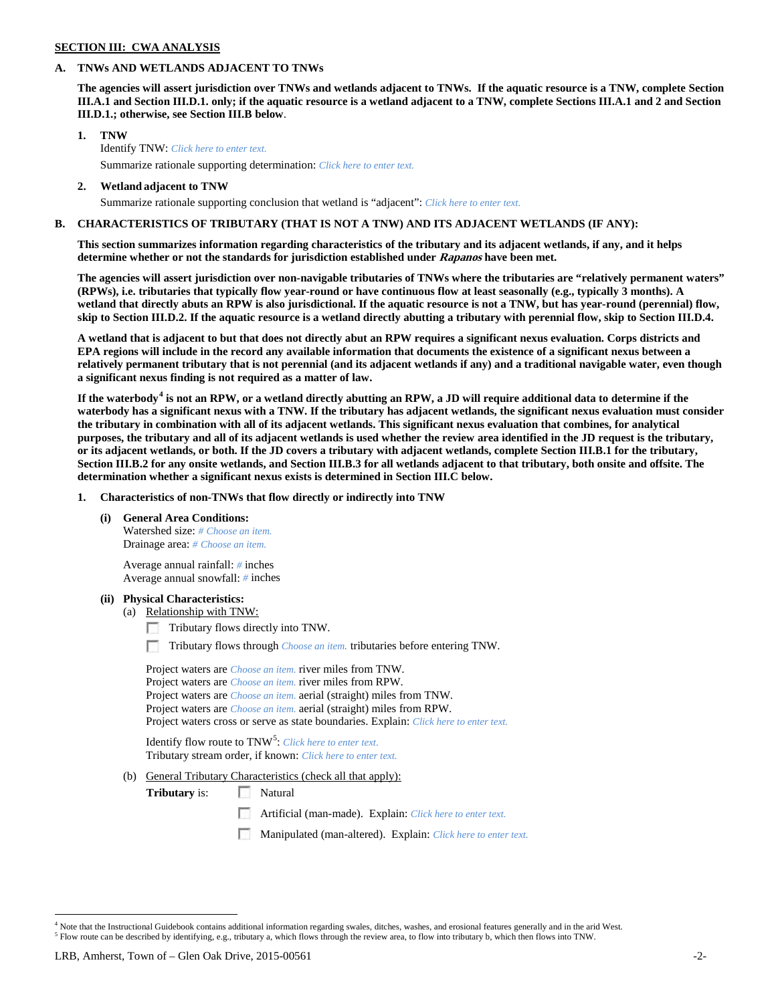# **SECTION III: CWA ANALYSIS**

### **A. TNWs AND WETLANDS ADJACENT TO TNWs**

**The agencies will assert jurisdiction over TNWs and wetlands adjacent to TNWs. If the aquatic resource is a TNW, complete Section III.A.1 and Section III.D.1. only; if the aquatic resource is a wetland adjacent to a TNW, complete Sections III.A.1 and 2 and Section III.D.1.; otherwise, see Section III.B below**.

- **1. TNW**  Identify TNW: *Click here to enter text.*
	- Summarize rationale supporting determination: *Click here to enter text.*
- **2. Wetland adjacent to TNW** Summarize rationale supporting conclusion that wetland is "adjacent": *Click here to enter text.*

## **B. CHARACTERISTICS OF TRIBUTARY (THAT IS NOT A TNW) AND ITS ADJACENT WETLANDS (IF ANY):**

**This section summarizes information regarding characteristics of the tributary and its adjacent wetlands, if any, and it helps determine whether or not the standards for jurisdiction established under Rapanos have been met.** 

**The agencies will assert jurisdiction over non-navigable tributaries of TNWs where the tributaries are "relatively permanent waters" (RPWs), i.e. tributaries that typically flow year-round or have continuous flow at least seasonally (e.g., typically 3 months). A wetland that directly abuts an RPW is also jurisdictional. If the aquatic resource is not a TNW, but has year-round (perennial) flow, skip to Section III.D.2. If the aquatic resource is a wetland directly abutting a tributary with perennial flow, skip to Section III.D.4.**

**A wetland that is adjacent to but that does not directly abut an RPW requires a significant nexus evaluation. Corps districts and EPA regions will include in the record any available information that documents the existence of a significant nexus between a relatively permanent tributary that is not perennial (and its adjacent wetlands if any) and a traditional navigable water, even though a significant nexus finding is not required as a matter of law.**

**If the waterbody[4](#page-1-0) is not an RPW, or a wetland directly abutting an RPW, a JD will require additional data to determine if the waterbody has a significant nexus with a TNW. If the tributary has adjacent wetlands, the significant nexus evaluation must consider the tributary in combination with all of its adjacent wetlands. This significant nexus evaluation that combines, for analytical purposes, the tributary and all of its adjacent wetlands is used whether the review area identified in the JD request is the tributary, or its adjacent wetlands, or both. If the JD covers a tributary with adjacent wetlands, complete Section III.B.1 for the tributary, Section III.B.2 for any onsite wetlands, and Section III.B.3 for all wetlands adjacent to that tributary, both onsite and offsite. The determination whether a significant nexus exists is determined in Section III.C below.**

**1. Characteristics of non-TNWs that flow directly or indirectly into TNW**

**(i) General Area Conditions:**

Watershed size: *# Choose an item.* Drainage area: *# Choose an item.*

Average annual rainfall: *#* inches Average annual snowfall: *#* inches

#### **(ii) Physical Characteristics:**

- (a) Relationship with TNW:
	- Tributary flows directly into TNW.

n Tributary flows through *Choose an item.* tributaries before entering TNW.

Project waters are *Choose an item.* river miles from TNW. Project waters are *Choose an item.* river miles from RPW. Project waters are *Choose an item.* aerial (straight) miles from TNW. Project waters are *Choose an item.* aerial (straight) miles from RPW. Project waters cross or serve as state boundaries. Explain: *Click here to enter text.*

Identify flow route to TNW<sup>[5](#page-1-1)</sup>: *Click here to enter text.* Tributary stream order, if known: *Click here to enter text.*

(b) General Tributary Characteristics (check all that apply):

**Tributary** is: Natural

- Artificial (man-made). Explain: *Click here to enter text.*
- Manipulated (man-altered). Explain: *Click here to enter text.*

<span id="page-1-1"></span><span id="page-1-0"></span> $4$  Note that the Instructional Guidebook contains additional information regarding swales, ditches, washes, and erosional features generally and in the arid West.<br> $5$  Flow route can be described by identifying, e.g., tri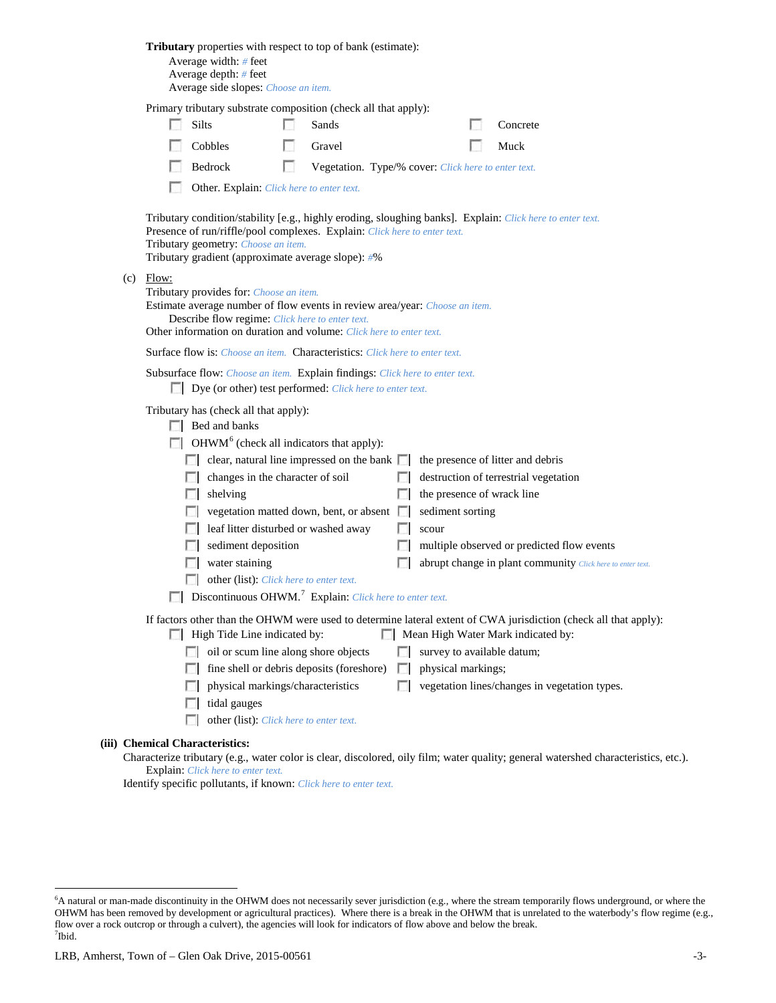|                                                                                                                                                                                                                                                                                                                     | Tributary properties with respect to top of bank (estimate):<br>Average width: # feet<br>Average depth: # feet<br>Average side slopes: Choose an item.                                                                                                                              |                                                                                                                                                                                                                                                                                                                                                                                                                                                             |          |                                                     |                  |                           |  |                                                                                                                                                                                                                      |  |
|---------------------------------------------------------------------------------------------------------------------------------------------------------------------------------------------------------------------------------------------------------------------------------------------------------------------|-------------------------------------------------------------------------------------------------------------------------------------------------------------------------------------------------------------------------------------------------------------------------------------|-------------------------------------------------------------------------------------------------------------------------------------------------------------------------------------------------------------------------------------------------------------------------------------------------------------------------------------------------------------------------------------------------------------------------------------------------------------|----------|-----------------------------------------------------|------------------|---------------------------|--|----------------------------------------------------------------------------------------------------------------------------------------------------------------------------------------------------------------------|--|
|                                                                                                                                                                                                                                                                                                                     | Primary tributary substrate composition (check all that apply):                                                                                                                                                                                                                     |                                                                                                                                                                                                                                                                                                                                                                                                                                                             |          |                                                     |                  |                           |  |                                                                                                                                                                                                                      |  |
|                                                                                                                                                                                                                                                                                                                     |                                                                                                                                                                                                                                                                                     | <b>Silts</b>                                                                                                                                                                                                                                                                                                                                                                                                                                                |          | Sands                                               |                  |                           |  | Concrete                                                                                                                                                                                                             |  |
|                                                                                                                                                                                                                                                                                                                     |                                                                                                                                                                                                                                                                                     | Cobbles                                                                                                                                                                                                                                                                                                                                                                                                                                                     | <b>I</b> | Gravel                                              |                  |                           |  | Muck                                                                                                                                                                                                                 |  |
|                                                                                                                                                                                                                                                                                                                     |                                                                                                                                                                                                                                                                                     | Bedrock                                                                                                                                                                                                                                                                                                                                                                                                                                                     | n        | Vegetation. Type/% cover: Click here to enter text. |                  |                           |  |                                                                                                                                                                                                                      |  |
|                                                                                                                                                                                                                                                                                                                     |                                                                                                                                                                                                                                                                                     | Other. Explain: Click here to enter text.                                                                                                                                                                                                                                                                                                                                                                                                                   |          |                                                     |                  |                           |  |                                                                                                                                                                                                                      |  |
|                                                                                                                                                                                                                                                                                                                     | Tributary condition/stability [e.g., highly eroding, sloughing banks]. Explain: Click here to enter text.<br>Presence of run/riffle/pool complexes. Explain: Click here to enter text.<br>Tributary geometry: Choose an item.<br>Tributary gradient (approximate average slope): #% |                                                                                                                                                                                                                                                                                                                                                                                                                                                             |          |                                                     |                  |                           |  |                                                                                                                                                                                                                      |  |
| (c)                                                                                                                                                                                                                                                                                                                 | Flow:<br>Tributary provides for: Choose an item.<br>Estimate average number of flow events in review area/year: Choose an item.<br>Describe flow regime: Click here to enter text.<br>Other information on duration and volume: Click here to enter text.                           |                                                                                                                                                                                                                                                                                                                                                                                                                                                             |          |                                                     |                  |                           |  |                                                                                                                                                                                                                      |  |
|                                                                                                                                                                                                                                                                                                                     |                                                                                                                                                                                                                                                                                     | Surface flow is: <i>Choose an item.</i> Characteristics: <i>Click here to enter text.</i>                                                                                                                                                                                                                                                                                                                                                                   |          |                                                     |                  |                           |  |                                                                                                                                                                                                                      |  |
|                                                                                                                                                                                                                                                                                                                     | Subsurface flow: Choose an item. Explain findings: Click here to enter text.<br>Dye (or other) test performed: Click here to enter text.                                                                                                                                            |                                                                                                                                                                                                                                                                                                                                                                                                                                                             |          |                                                     |                  |                           |  |                                                                                                                                                                                                                      |  |
|                                                                                                                                                                                                                                                                                                                     |                                                                                                                                                                                                                                                                                     | Tributary has (check all that apply):<br>$\Box$ Bed and banks<br>$\Box$ OHWM <sup>6</sup> (check all indicators that apply):<br>$\Box$ clear, natural line impressed on the bank $\Box$<br>changes in the character of soil<br>shelving<br>leaf litter disturbed or washed away<br>sediment deposition<br>water staining<br>$\Box$<br>other (list): Click here to enter text.<br>$\Box$ Discontinuous OHWM. <sup>7</sup> Explain: Click here to enter text. |          | vegetation matted down, bent, or absent $\Box$      | L.<br><b>COL</b> | sediment sorting<br>scour |  | the presence of litter and debris<br>destruction of terrestrial vegetation<br>the presence of wrack line<br>multiple observed or predicted flow events<br>abrupt change in plant community Click here to enter text. |  |
| If factors other than the OHWM were used to determine lateral extent of CWA jurisdiction (check all that apply):<br>High Tide Line indicated by:<br>Mean High Water Mark indicated by:<br>survey to available datum;<br>oil or scum line along shore objects<br>$\sim$<br>fine shell or debris deposits (foreshore) |                                                                                                                                                                                                                                                                                     |                                                                                                                                                                                                                                                                                                                                                                                                                                                             |          |                                                     |                  |                           |  |                                                                                                                                                                                                                      |  |
|                                                                                                                                                                                                                                                                                                                     |                                                                                                                                                                                                                                                                                     | physical markings/characteristics<br>tidal gauges<br>other (list): Click here to enter text.<br><b>Taratta</b>                                                                                                                                                                                                                                                                                                                                              |          |                                                     | $\mathbb{R}$     | physical markings;        |  | vegetation lines/changes in vegetation types.                                                                                                                                                                        |  |
|                                                                                                                                                                                                                                                                                                                     |                                                                                                                                                                                                                                                                                     | <b>Chemical Characteristics:</b>                                                                                                                                                                                                                                                                                                                                                                                                                            |          |                                                     |                  |                           |  |                                                                                                                                                                                                                      |  |
|                                                                                                                                                                                                                                                                                                                     |                                                                                                                                                                                                                                                                                     | Explain: Click here to enter text.                                                                                                                                                                                                                                                                                                                                                                                                                          |          |                                                     |                  |                           |  | Characterize tributary (e.g., water color is clear, discolored, oily film; water quality; general watershed characteristics, etc.).                                                                                  |  |

Identify specific pollutants, if known: *Click here to enter text.*

**(iii)** 

<span id="page-2-1"></span><span id="page-2-0"></span> <sup>6</sup> <sup>6</sup>A natural or man-made discontinuity in the OHWM does not necessarily sever jurisdiction (e.g., where the stream temporarily flows underground, or where the OHWM has been removed by development or agricultural practices). Where there is a break in the OHWM that is unrelated to the waterbody's flow regime (e.g., flow over a rock outcrop or through a culvert), the agencies will look for indicators of flow above and below the break. 7 Ibid.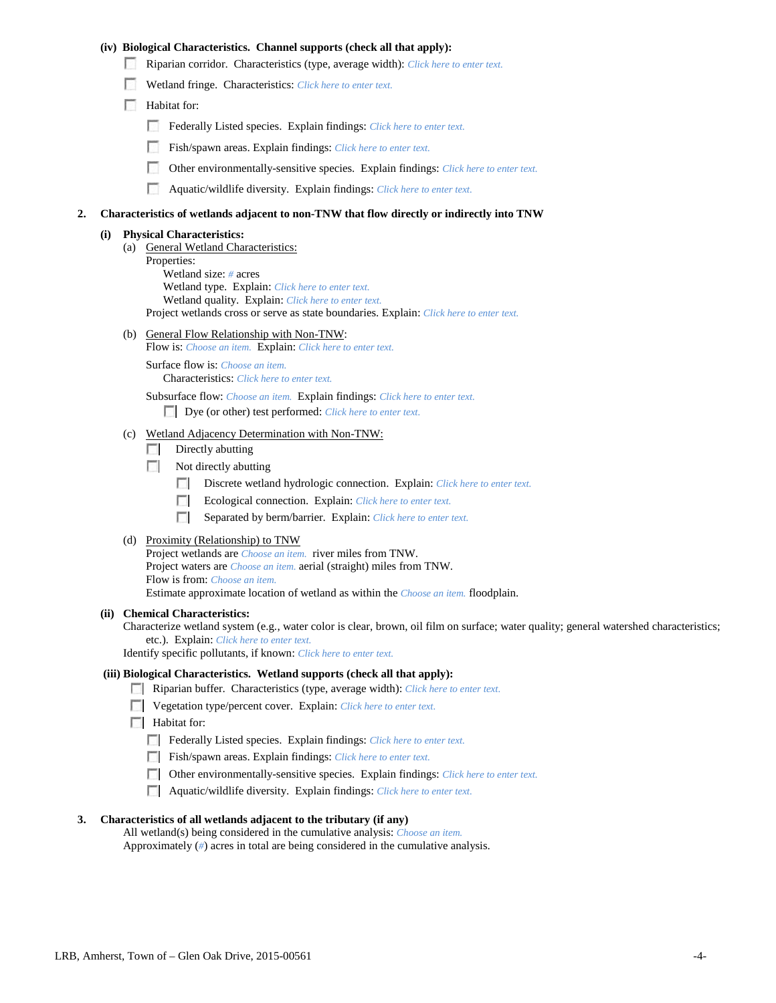## **(iv) Biological Characteristics. Channel supports (check all that apply):**

- Riparian corridor. Characteristics (type, average width): *Click here to enter text.*
- Wetland fringe. Characteristics: *Click here to enter text.*
- Habitat for:
	- Federally Listed species. Explain findings: *Click here to enter text.*
	- Fish/spawn areas. Explain findings: *Click here to enter text.*
	- Other environmentally-sensitive species. Explain findings: *Click here to enter text.*
	- **1999** Aquatic/wildlife diversity. Explain findings: *Click here to enter text.*

#### **2. Characteristics of wetlands adjacent to non-TNW that flow directly or indirectly into TNW**

### **(i) Physical Characteristics:**

- (a) General Wetland Characteristics:
	- Properties:

Wetland size: *#* acres Wetland type. Explain: *Click here to enter text.*

Wetland quality. Explain: *Click here to enter text.*

Project wetlands cross or serve as state boundaries. Explain: *Click here to enter text.*

(b) General Flow Relationship with Non-TNW: Flow is: *Choose an item.* Explain: *Click here to enter text.*

Surface flow is: *Choose an item.* Characteristics: *Click here to enter text.*

Subsurface flow: *Choose an item.* Explain findings: *Click here to enter text.*

Dye (or other) test performed: *Click here to enter text.*

### (c) Wetland Adjacency Determination with Non-TNW:

- $\Box$  Directly abutting
- Not directly abutting
	- 100 Discrete wetland hydrologic connection. Explain: *Click here to enter text.*
	- Ecological connection. Explain: *Click here to enter text.* **The Contract of the Contract of the Contract of the Contract of the Contract of the Contract of the Contract of the Contract of the Contract of the Contract of the Contract of the Contract of the Contract of the Contract**
	- **The Contract of the Contract of the Contract of the Contract of the Contract of the Contract of the Contract of the Contract of the Contract of the Contract of the Contract of the Contract of the Contract of the Contract** Separated by berm/barrier. Explain: *Click here to enter text.*
- (d) Proximity (Relationship) to TNW

Project wetlands are *Choose an item.* river miles from TNW. Project waters are *Choose an item.* aerial (straight) miles from TNW. Flow is from: *Choose an item.* Estimate approximate location of wetland as within the *Choose an item.* floodplain.

#### **(ii) Chemical Characteristics:**

Characterize wetland system (e.g., water color is clear, brown, oil film on surface; water quality; general watershed characteristics; etc.). Explain: *Click here to enter text.*

Identify specific pollutants, if known: *Click here to enter text.*

### **(iii) Biological Characteristics. Wetland supports (check all that apply):**

- Riparian buffer. Characteristics (type, average width): *Click here to enter text.*
- Vegetation type/percent cover. Explain: *Click here to enter text.*
- **Habitat for:** 
	- Federally Listed species. Explain findings: *Click here to enter text*.
	- Fish/spawn areas. Explain findings: *Click here to enter text.*
	- Other environmentally-sensitive species. Explain findings: *Click here to enter text.*
	- Aquatic/wildlife diversity. Explain findings: *Click here to enter text.*

### **3. Characteristics of all wetlands adjacent to the tributary (if any)**

All wetland(s) being considered in the cumulative analysis: *Choose an item.* Approximately (*#*) acres in total are being considered in the cumulative analysis.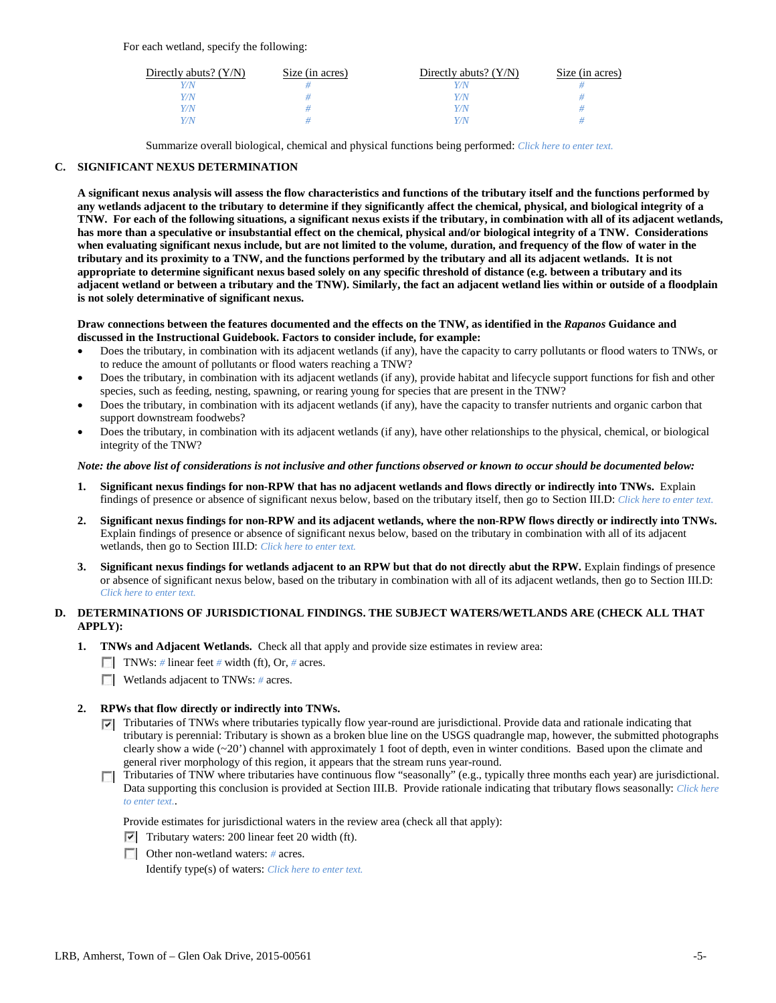For each wetland, specify the following:

| Directly abuts? $(Y/N)$ | Size (in acres) | Directly abuts? $(Y/N)$ | Size (in acres) |
|-------------------------|-----------------|-------------------------|-----------------|
| Y/N                     |                 |                         |                 |
| Y/N                     |                 | Y/N                     |                 |
| Y/N                     |                 | Y/N                     |                 |
| Y/N                     |                 | Y/N                     |                 |

Summarize overall biological, chemical and physical functions being performed: *Click here to enter text.*

## **C. SIGNIFICANT NEXUS DETERMINATION**

**A significant nexus analysis will assess the flow characteristics and functions of the tributary itself and the functions performed by any wetlands adjacent to the tributary to determine if they significantly affect the chemical, physical, and biological integrity of a TNW. For each of the following situations, a significant nexus exists if the tributary, in combination with all of its adjacent wetlands, has more than a speculative or insubstantial effect on the chemical, physical and/or biological integrity of a TNW. Considerations when evaluating significant nexus include, but are not limited to the volume, duration, and frequency of the flow of water in the tributary and its proximity to a TNW, and the functions performed by the tributary and all its adjacent wetlands. It is not appropriate to determine significant nexus based solely on any specific threshold of distance (e.g. between a tributary and its adjacent wetland or between a tributary and the TNW). Similarly, the fact an adjacent wetland lies within or outside of a floodplain is not solely determinative of significant nexus.** 

### **Draw connections between the features documented and the effects on the TNW, as identified in the** *Rapanos* **Guidance and discussed in the Instructional Guidebook. Factors to consider include, for example:**

- Does the tributary, in combination with its adjacent wetlands (if any), have the capacity to carry pollutants or flood waters to TNWs, or to reduce the amount of pollutants or flood waters reaching a TNW?
- Does the tributary, in combination with its adjacent wetlands (if any), provide habitat and lifecycle support functions for fish and other species, such as feeding, nesting, spawning, or rearing young for species that are present in the TNW?
- Does the tributary, in combination with its adjacent wetlands (if any), have the capacity to transfer nutrients and organic carbon that support downstream foodwebs?
- Does the tributary, in combination with its adjacent wetlands (if any), have other relationships to the physical, chemical, or biological integrity of the TNW?

### *Note: the above list of considerations is not inclusive and other functions observed or known to occur should be documented below:*

- **1. Significant nexus findings for non-RPW that has no adjacent wetlands and flows directly or indirectly into TNWs.** Explain findings of presence or absence of significant nexus below, based on the tributary itself, then go to Section III.D: *Click here to enter text.*
- **2. Significant nexus findings for non-RPW and its adjacent wetlands, where the non-RPW flows directly or indirectly into TNWs.**  Explain findings of presence or absence of significant nexus below, based on the tributary in combination with all of its adjacent wetlands, then go to Section III.D: *Click here to enter text.*
- **3. Significant nexus findings for wetlands adjacent to an RPW but that do not directly abut the RPW.** Explain findings of presence or absence of significant nexus below, based on the tributary in combination with all of its adjacent wetlands, then go to Section III.D: *Click here to enter text.*

# **D. DETERMINATIONS OF JURISDICTIONAL FINDINGS. THE SUBJECT WATERS/WETLANDS ARE (CHECK ALL THAT APPLY):**

- **1. TNWs and Adjacent Wetlands.** Check all that apply and provide size estimates in review area:
	- TNWs: *#* linear feet *#* width (ft), Or, *#* acres.
	- **Wetlands adjacent to TNWs: # acres.**

## **2. RPWs that flow directly or indirectly into TNWs.**

- $\nabla$  Tributaries of TNWs where tributaries typically flow year-round are jurisdictional. Provide data and rationale indicating that tributary is perennial: Tributary is shown as a broken blue line on the USGS quadrangle map, however, the submitted photographs clearly show a wide  $(\sim 20')$  channel with approximately 1 foot of depth, even in winter conditions. Based upon the climate and general river morphology of this region, it appears that the stream runs year-round.
- Tributaries of TNW where tributaries have continuous flow "seasonally" (e.g., typically three months each year) are jurisdictional. Data supporting this conclusion is provided at Section III.B. Provide rationale indicating that tributary flows seasonally: *Click here to enter text.*.

Provide estimates for jurisdictional waters in the review area (check all that apply):

- $\triangledown$  Tributary waters: 200 linear feet 20 width (ft).
- Other non-wetland waters: *#* acres. Identify type(s) of waters: *Click here to enter text.*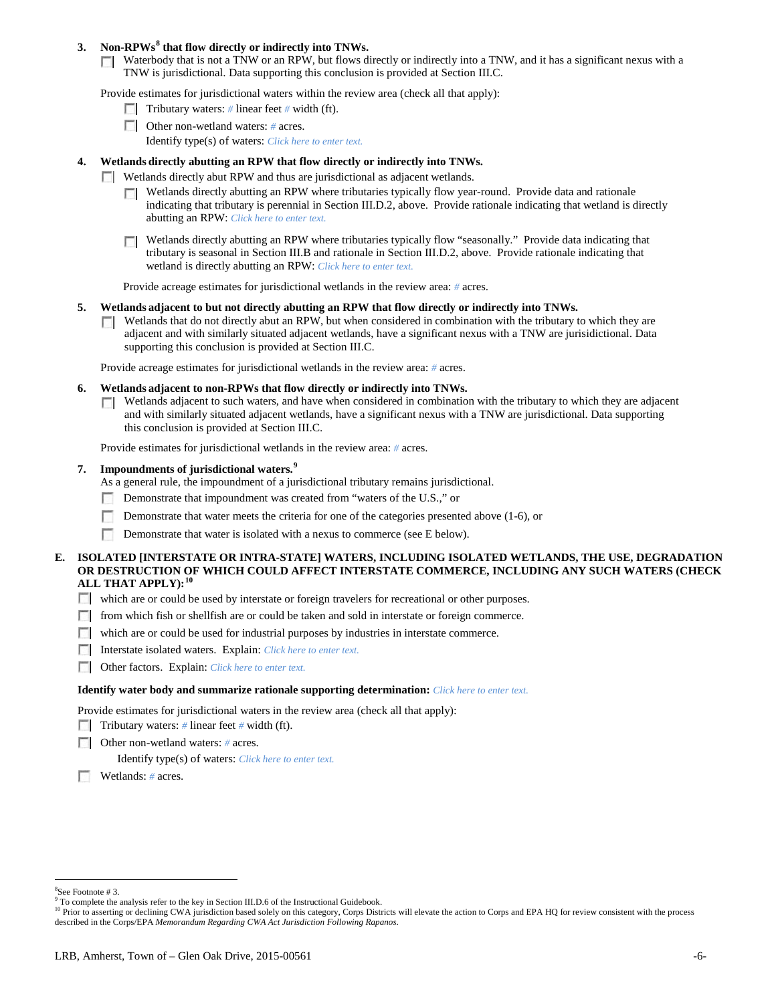# **3. Non-RPWs[8](#page-5-0) that flow directly or indirectly into TNWs.**

Waterbody that is not a TNW or an RPW, but flows directly or indirectly into a TNW, and it has a significant nexus with a TNW is jurisdictional. Data supporting this conclusion is provided at Section III.C.

Provide estimates for jurisdictional waters within the review area (check all that apply):

- **Tributary waters:** # linear feet # width (ft).
- Other non-wetland waters: *#* acres. Identify type(s) of waters: *Click here to enter text.*
- **4. Wetlands directly abutting an RPW that flow directly or indirectly into TNWs.**
	- **Wetlands directly abut RPW and thus are jurisdictional as adjacent wetlands.** 
		- $\Box$  Wetlands directly abutting an RPW where tributaries typically flow year-round. Provide data and rationale indicating that tributary is perennial in Section III.D.2, above. Provide rationale indicating that wetland is directly abutting an RPW: *Click here to enter text.*
		- Wetlands directly abutting an RPW where tributaries typically flow "seasonally." Provide data indicating that  $\Box$ tributary is seasonal in Section III.B and rationale in Section III.D.2, above. Provide rationale indicating that wetland is directly abutting an RPW: *Click here to enter text.*

Provide acreage estimates for jurisdictional wetlands in the review area: *#* acres.

- **5. Wetlands adjacent to but not directly abutting an RPW that flow directly or indirectly into TNWs.**
	- $\Box$  Wetlands that do not directly abut an RPW, but when considered in combination with the tributary to which they are adjacent and with similarly situated adjacent wetlands, have a significant nexus with a TNW are jurisidictional. Data supporting this conclusion is provided at Section III.C.

Provide acreage estimates for jurisdictional wetlands in the review area: *#* acres.

- **6. Wetlands adjacent to non-RPWs that flow directly or indirectly into TNWs.** 
	- Wetlands adjacent to such waters, and have when considered in combination with the tributary to which they are adjacent  $\sim$ and with similarly situated adjacent wetlands, have a significant nexus with a TNW are jurisdictional. Data supporting this conclusion is provided at Section III.C.

Provide estimates for jurisdictional wetlands in the review area: *#* acres.

**7. Impoundments of jurisdictional waters. [9](#page-5-1)**

As a general rule, the impoundment of a jurisdictional tributary remains jurisdictional.

- Demonstrate that impoundment was created from "waters of the U.S.," or
- Demonstrate that water meets the criteria for one of the categories presented above (1-6), or
- n Demonstrate that water is isolated with a nexus to commerce (see E below).
- **E. ISOLATED [INTERSTATE OR INTRA-STATE] WATERS, INCLUDING ISOLATED WETLANDS, THE USE, DEGRADATION OR DESTRUCTION OF WHICH COULD AFFECT INTERSTATE COMMERCE, INCLUDING ANY SUCH WATERS (CHECK ALL THAT APPLY):[10](#page-5-2)**
	- which are or could be used by interstate or foreign travelers for recreational or other purposes.
	- from which fish or shellfish are or could be taken and sold in interstate or foreign commerce.
	- which are or could be used for industrial purposes by industries in interstate commerce.
	- Interstate isolated waters.Explain: *Click here to enter text.*
	- Other factors.Explain: *Click here to enter text.*

#### **Identify water body and summarize rationale supporting determination:** *Click here to enter text.*

Provide estimates for jurisdictional waters in the review area (check all that apply):

- Tributary waters: # linear feet # width (ft).
- Other non-wetland waters: *#* acres.

Identify type(s) of waters: *Click here to enter text.*

Wetlands: *#* acres.

 $\frac{1}{8}$ 

<span id="page-5-0"></span><sup>&</sup>lt;sup>8</sup>See Footnote # 3.<br><sup>9</sup> To complete the analysis refer to the key in Section III.D.6 of the Instructional Guidebook.

<span id="page-5-2"></span><span id="page-5-1"></span><sup>&</sup>lt;sup>10</sup> Prior to asserting or declining CWA jurisdiction based solely on this category, Corps Districts will elevate the action to Corps and EPA HQ for review consistent with the process described in the Corps/EPA *Memorandum Regarding CWA Act Jurisdiction Following Rapanos.*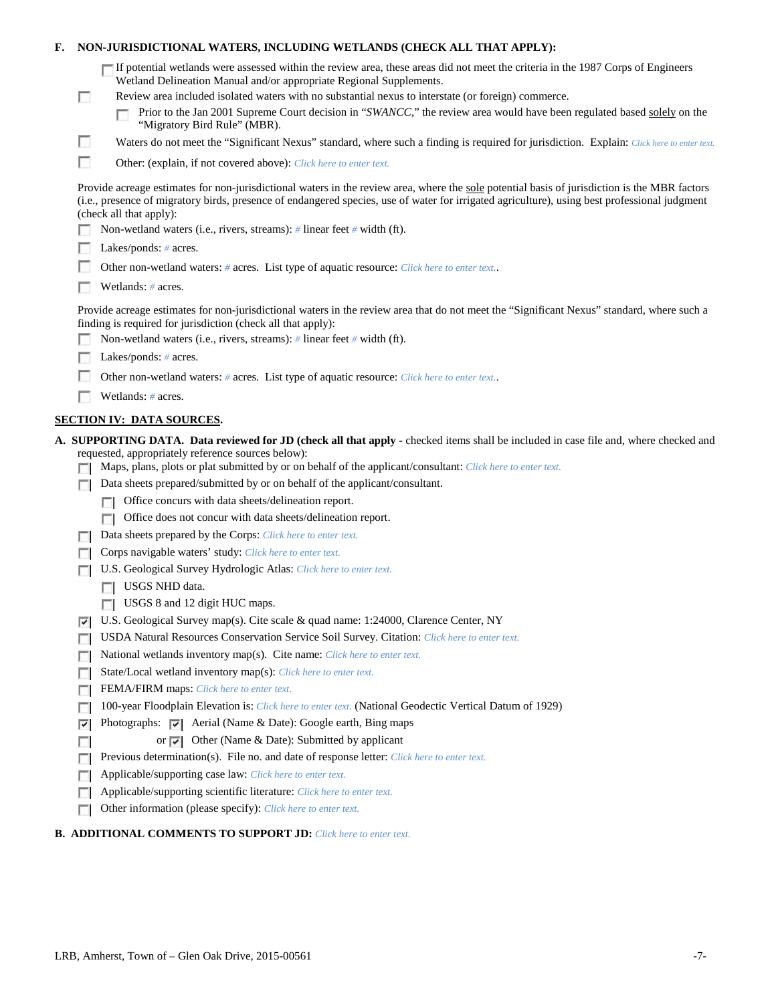| F. |                                                                                                                                                                                                                                                                                                                           | NON-JURISDICTIONAL WATERS, INCLUDING WETLANDS (CHECK ALL THAT APPLY):                                                                                                                                                                                                                                                                                                                                                                                                     |  |  |  |  |
|----|---------------------------------------------------------------------------------------------------------------------------------------------------------------------------------------------------------------------------------------------------------------------------------------------------------------------------|---------------------------------------------------------------------------------------------------------------------------------------------------------------------------------------------------------------------------------------------------------------------------------------------------------------------------------------------------------------------------------------------------------------------------------------------------------------------------|--|--|--|--|
|    | $\Box$                                                                                                                                                                                                                                                                                                                    | If potential wetlands were assessed within the review area, these areas did not meet the criteria in the 1987 Corps of Engineers<br>Wetland Delineation Manual and/or appropriate Regional Supplements.<br>Review area included isolated waters with no substantial nexus to interstate (or foreign) commerce.<br>Prior to the Jan 2001 Supreme Court decision in "SWANCC," the review area would have been regulated based solely on the<br>"Migratory Bird Rule" (MBR). |  |  |  |  |
|    | L.                                                                                                                                                                                                                                                                                                                        | Waters do not meet the "Significant Nexus" standard, where such a finding is required for jurisdiction. Explain: Click here to enter text.                                                                                                                                                                                                                                                                                                                                |  |  |  |  |
|    | п                                                                                                                                                                                                                                                                                                                         | Other: (explain, if not covered above): Click here to enter text.                                                                                                                                                                                                                                                                                                                                                                                                         |  |  |  |  |
|    | Provide acreage estimates for non-jurisdictional waters in the review area, where the sole potential basis of jurisdiction is the MBR factors<br>(i.e., presence of migratory birds, presence of endangered species, use of water for irrigated agriculture), using best professional judgment<br>(check all that apply): |                                                                                                                                                                                                                                                                                                                                                                                                                                                                           |  |  |  |  |
|    | Non-wetland waters (i.e., rivers, streams): # linear feet # width (ft).                                                                                                                                                                                                                                                   |                                                                                                                                                                                                                                                                                                                                                                                                                                                                           |  |  |  |  |
|    | Lakes/ponds: $# \, \text{acres.}$                                                                                                                                                                                                                                                                                         |                                                                                                                                                                                                                                                                                                                                                                                                                                                                           |  |  |  |  |
|    |                                                                                                                                                                                                                                                                                                                           | Other non-wetland waters: # acres. List type of aquatic resource: Click here to enter text                                                                                                                                                                                                                                                                                                                                                                                |  |  |  |  |
|    | Wetlands: # acres.                                                                                                                                                                                                                                                                                                        |                                                                                                                                                                                                                                                                                                                                                                                                                                                                           |  |  |  |  |
|    |                                                                                                                                                                                                                                                                                                                           | Provide acreage estimates for non-jurisdictional waters in the review area that do not meet the "Significant Nexus" standard, where such a<br>finding is required for jurisdiction (check all that apply):<br>Non-wetland waters (i.e., rivers, streams): $\#$ linear feet $\#$ width (ft).                                                                                                                                                                               |  |  |  |  |
|    |                                                                                                                                                                                                                                                                                                                           | Lakes/ponds: $# \, \text{acres.}$                                                                                                                                                                                                                                                                                                                                                                                                                                         |  |  |  |  |
|    |                                                                                                                                                                                                                                                                                                                           | Other non-wetland waters: # acres. List type of aquatic resource: Click here to enter text                                                                                                                                                                                                                                                                                                                                                                                |  |  |  |  |
|    |                                                                                                                                                                                                                                                                                                                           | Wetlands: # acres.                                                                                                                                                                                                                                                                                                                                                                                                                                                        |  |  |  |  |
|    |                                                                                                                                                                                                                                                                                                                           |                                                                                                                                                                                                                                                                                                                                                                                                                                                                           |  |  |  |  |
|    |                                                                                                                                                                                                                                                                                                                           | <b>SECTION IV: DATA SOURCES.</b>                                                                                                                                                                                                                                                                                                                                                                                                                                          |  |  |  |  |
|    |                                                                                                                                                                                                                                                                                                                           | A. SUPPORTING DATA. Data reviewed for JD (check all that apply - checked items shall be included in case file and, where checked and<br>requested, appropriately reference sources below):<br>Maps, plans, plots or plat submitted by or on behalf of the applicant/consultant: Click here to enter text.                                                                                                                                                                 |  |  |  |  |
|    |                                                                                                                                                                                                                                                                                                                           | Data sheets prepared/submitted by or on behalf of the applicant/consultant.                                                                                                                                                                                                                                                                                                                                                                                               |  |  |  |  |
|    |                                                                                                                                                                                                                                                                                                                           | Office concurs with data sheets/delineation report.                                                                                                                                                                                                                                                                                                                                                                                                                       |  |  |  |  |
|    |                                                                                                                                                                                                                                                                                                                           | Office does not concur with data sheets/delineation report.                                                                                                                                                                                                                                                                                                                                                                                                               |  |  |  |  |
|    |                                                                                                                                                                                                                                                                                                                           | Data sheets prepared by the Corps: Click here to enter text.                                                                                                                                                                                                                                                                                                                                                                                                              |  |  |  |  |
|    |                                                                                                                                                                                                                                                                                                                           | Corps navigable waters' study: Click here to enter text.                                                                                                                                                                                                                                                                                                                                                                                                                  |  |  |  |  |
|    |                                                                                                                                                                                                                                                                                                                           | U.S. Geological Survey Hydrologic Atlas: Click here to enter text.                                                                                                                                                                                                                                                                                                                                                                                                        |  |  |  |  |
|    |                                                                                                                                                                                                                                                                                                                           | USGS NHD data.                                                                                                                                                                                                                                                                                                                                                                                                                                                            |  |  |  |  |
|    |                                                                                                                                                                                                                                                                                                                           | USGS 8 and 12 digit HUC maps.                                                                                                                                                                                                                                                                                                                                                                                                                                             |  |  |  |  |
|    | ⊽                                                                                                                                                                                                                                                                                                                         | U.S. Geological Survey map(s). Cite scale & quad name: 1:24000, Clarence Center, NY                                                                                                                                                                                                                                                                                                                                                                                       |  |  |  |  |
|    |                                                                                                                                                                                                                                                                                                                           | USDA Natural Resources Conservation Service Soil Survey. Citation: Click here to enter text.                                                                                                                                                                                                                                                                                                                                                                              |  |  |  |  |
|    | г                                                                                                                                                                                                                                                                                                                         | National wetlands inventory map(s). Cite name: Click here to enter text.                                                                                                                                                                                                                                                                                                                                                                                                  |  |  |  |  |
|    | г                                                                                                                                                                                                                                                                                                                         | State/Local wetland inventory map(s): Click here to enter text.                                                                                                                                                                                                                                                                                                                                                                                                           |  |  |  |  |
|    | п                                                                                                                                                                                                                                                                                                                         | FEMA/FIRM maps: Click here to enter text.<br>100-year Floodplain Elevation is: Click here to enter text. (National Geodectic Vertical Datum of 1929)                                                                                                                                                                                                                                                                                                                      |  |  |  |  |
|    |                                                                                                                                                                                                                                                                                                                           | Photographs: $\triangledown$ Aerial (Name & Date): Google earth, Bing maps                                                                                                                                                                                                                                                                                                                                                                                                |  |  |  |  |
|    | ⊽                                                                                                                                                                                                                                                                                                                         | or $\overline{\smile}$ Other (Name & Date): Submitted by applicant                                                                                                                                                                                                                                                                                                                                                                                                        |  |  |  |  |
|    | г                                                                                                                                                                                                                                                                                                                         | Previous determination(s). File no. and date of response letter: Click here to enter text.                                                                                                                                                                                                                                                                                                                                                                                |  |  |  |  |
|    |                                                                                                                                                                                                                                                                                                                           | Applicable/supporting case law: Click here to enter text.                                                                                                                                                                                                                                                                                                                                                                                                                 |  |  |  |  |
|    | E                                                                                                                                                                                                                                                                                                                         | Applicable/supporting scientific literature: Click here to enter text.                                                                                                                                                                                                                                                                                                                                                                                                    |  |  |  |  |
|    | Е                                                                                                                                                                                                                                                                                                                         | Other information (please specify): Click here to enter text.                                                                                                                                                                                                                                                                                                                                                                                                             |  |  |  |  |
|    |                                                                                                                                                                                                                                                                                                                           |                                                                                                                                                                                                                                                                                                                                                                                                                                                                           |  |  |  |  |

# **B. ADDITIONAL COMMENTS TO SUPPORT JD:** *Click here to enter text.*